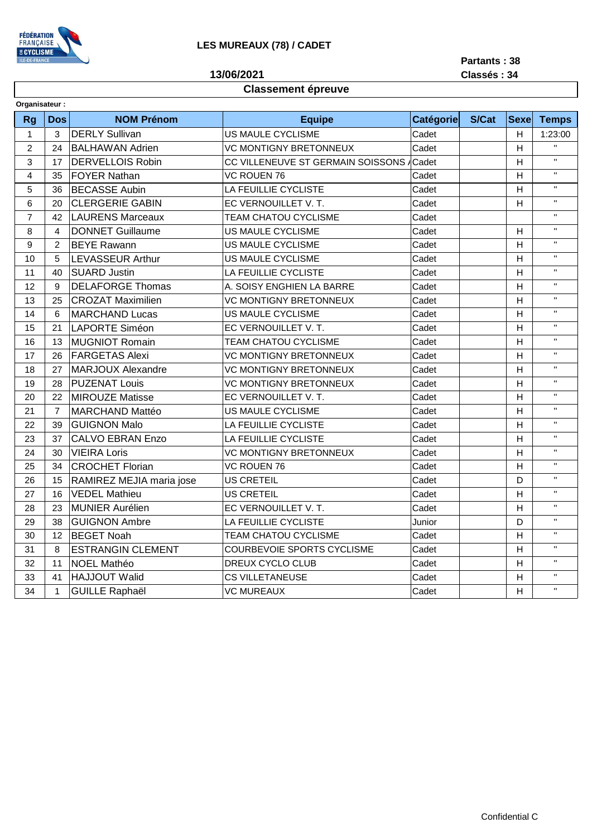

**13/06/2021**

**Partants : 38**

**Classés : 34**

## **Classement épreuve**

| Organisateur:  |                |                          |                                           |           |       |              |              |  |  |  |  |
|----------------|----------------|--------------------------|-------------------------------------------|-----------|-------|--------------|--------------|--|--|--|--|
| <b>Rg</b>      | <b>Dos</b>     | <b>NOM Prénom</b>        | <b>Equipe</b>                             | Catégorie | S/Cat | <b>Sexel</b> | <b>Temps</b> |  |  |  |  |
| $\mathbf{1}$   | 3              | <b>DERLY Sullivan</b>    | <b>US MAULE CYCLISME</b>                  | Cadet     |       | H            | 1:23:00      |  |  |  |  |
| $\overline{2}$ | 24             | <b>BALHAWAN Adrien</b>   | Cadet<br><b>VC MONTIGNY BRETONNEUX</b>    |           |       | H            | $\mathbf{H}$ |  |  |  |  |
| 3              | 17             | <b>DERVELLOIS Robin</b>  | CC VILLENEUVE ST GERMAIN SOISSONS / Cadet |           |       | H            | $\mathbf{H}$ |  |  |  |  |
| $\overline{4}$ | 35             | <b>FOYER Nathan</b>      | <b>VC ROUEN 76</b>                        | Cadet     |       | H            | $\mathbf{H}$ |  |  |  |  |
| 5              | 36             | <b>BECASSE Aubin</b>     | LA FEUILLIE CYCLISTE<br>Cadet             |           |       | H            | H.           |  |  |  |  |
| 6              | 20             | <b>CLERGERIE GABIN</b>   | Cadet<br>EC VERNOUILLET V.T.              |           |       | H            | $\mathbf{H}$ |  |  |  |  |
| $\overline{7}$ | 42             | <b>LAURENS Marceaux</b>  | <b>TEAM CHATOU CYCLISME</b>               | Cadet     |       |              | $\mathbf{H}$ |  |  |  |  |
| 8              | 4              | <b>DONNET Guillaume</b>  | US MAULE CYCLISME                         | Cadet     |       | н            | $\mathbf{H}$ |  |  |  |  |
| 9              | 2              | <b>BEYE Rawann</b>       | US MAULE CYCLISME                         | Cadet     |       | H            | H.           |  |  |  |  |
| 10             | 5              | <b>LEVASSEUR Arthur</b>  | US MAULE CYCLISME                         | Cadet     |       | H            | H.           |  |  |  |  |
| 11             | 40             | <b>SUARD Justin</b>      | LA FEUILLIE CYCLISTE                      | Cadet     |       | H            | H.           |  |  |  |  |
| 12             | 9              | <b>DELAFORGE Thomas</b>  | A. SOISY ENGHIEN LA BARRE                 | Cadet     |       | H            | $\mathbf{H}$ |  |  |  |  |
| 13             | 25             | <b>CROZAT Maximilien</b> | <b>VC MONTIGNY BRETONNEUX</b>             | Cadet     |       | H            | $\mathbf{H}$ |  |  |  |  |
| 14             | 6              | <b>MARCHAND Lucas</b>    | US MAULE CYCLISME                         | Cadet     |       | H            | $\mathbf{H}$ |  |  |  |  |
| 15             | 21             | LAPORTE Siméon           | EC VERNOUILLET V. T.                      | Cadet     |       | H            | $\mathbf{H}$ |  |  |  |  |
| 16             | 13             | <b>MUGNIOT Romain</b>    | <b>TEAM CHATOU CYCLISME</b>               | Cadet     |       | H            | $\mathbf{u}$ |  |  |  |  |
| 17             | 26             | <b>FARGETAS Alexi</b>    | <b>VC MONTIGNY BRETONNEUX</b>             | Cadet     |       | H            | H.           |  |  |  |  |
| 18             | 27             | <b>MARJOUX Alexandre</b> | <b>VC MONTIGNY BRETONNEUX</b>             | Cadet     |       | H            | $\mathbf{H}$ |  |  |  |  |
| 19             | 28             | <b>PUZENAT Louis</b>     | <b>VC MONTIGNY BRETONNEUX</b>             | Cadet     |       | H            | $\mathbf{H}$ |  |  |  |  |
| 20             | 22             | MIROUZE Matisse          | EC VERNOUILLET V. T.                      | Cadet     |       | H            | $\mathbf{H}$ |  |  |  |  |
| 21             | $\overline{7}$ | MARCHAND Mattéo          | US MAULE CYCLISME                         | Cadet     |       | H            | $\mathbf{H}$ |  |  |  |  |
| 22             | 39             | <b>GUIGNON Malo</b>      | LA FEUILLIE CYCLISTE<br>Cadet             |           |       | н            | H.           |  |  |  |  |
| 23             | 37             | <b>CALVO EBRAN Enzo</b>  | LA FEUILLIE CYCLISTE                      | Cadet     |       | H            | $\mathbf{H}$ |  |  |  |  |
| 24             | 30             | <b>VIEIRA Loris</b>      | <b>VC MONTIGNY BRETONNEUX</b>             | Cadet     |       | H            | $\mathbf{H}$ |  |  |  |  |
| 25             | 34             | <b>CROCHET Florian</b>   | <b>VC ROUEN 76</b>                        | Cadet     |       | H            | $\mathbf{H}$ |  |  |  |  |
| 26             | 15             | RAMIREZ MEJIA maria jose | <b>US CRETEIL</b>                         | Cadet     |       | D            | $\mathbf{H}$ |  |  |  |  |
| 27             | 16             | <b>VEDEL Mathieu</b>     | <b>US CRETEIL</b>                         | Cadet     |       | H            | $\mathbf{H}$ |  |  |  |  |
| 28             | 23             | <b>MUNIER Aurélien</b>   | EC VERNOUILLET V. T.                      | Cadet     |       | H            | $\mathbf{H}$ |  |  |  |  |
| 29             | 38             | <b>GUIGNON Ambre</b>     | LA FEUILLIE CYCLISTE                      | Junior    |       | D            | $\mathbf{H}$ |  |  |  |  |
| 30             | 12             | <b>BEGET Noah</b>        | TEAM CHATOU CYCLISME                      | Cadet     |       | H            | $\mathbf{H}$ |  |  |  |  |
| 31             | 8              | <b>ESTRANGIN CLEMENT</b> | COURBEVOIE SPORTS CYCLISME                | Cadet     |       | H            | $\mathbf{H}$ |  |  |  |  |
| 32             | 11             | NOEL Mathéo              | DREUX CYCLO CLUB                          | Cadet     |       | H            | H.           |  |  |  |  |
| 33             | 41             | HAJJOUT Walid            | <b>CS VILLETANEUSE</b>                    | Cadet     |       | н            | $\mathbf{H}$ |  |  |  |  |
| 34             | $\mathbf{1}$   | <b>GUILLE Raphaël</b>    | <b>VC MUREAUX</b>                         | Cadet     |       | H            | $\mathbf{H}$ |  |  |  |  |